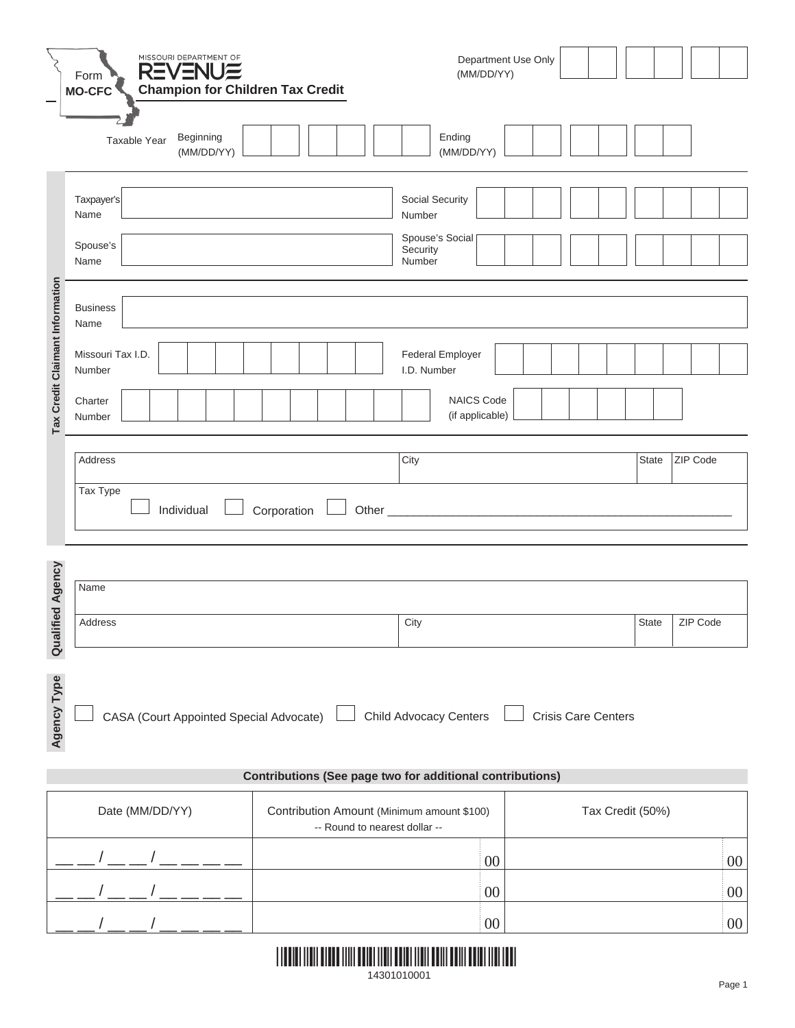|                                 | MISSOURI DEPARTMENT OF<br><b>REVENUE</b><br>Form                                                                             | Department Use Only<br>(MM/DD/YY)                                           |                          |  |  |  |  |  |  |  |
|---------------------------------|------------------------------------------------------------------------------------------------------------------------------|-----------------------------------------------------------------------------|--------------------------|--|--|--|--|--|--|--|
|                                 | <b>Champion for Children Tax Credit</b><br><b>MO-CFC</b><br>Beginning<br>Taxable Year<br>(MM/DD/YY)                          | Ending<br>(MM/DD/YY)                                                        |                          |  |  |  |  |  |  |  |
|                                 | Taxpayer's<br>Name<br>Spouse's                                                                                               | Social Security<br>Number<br>Spouse's Social<br>Security                    |                          |  |  |  |  |  |  |  |
| Tax Credit Claimant Information | Name<br>Number<br><b>Business</b><br>Name                                                                                    |                                                                             |                          |  |  |  |  |  |  |  |
|                                 | Missouri Tax I.D.<br>Number                                                                                                  | Federal Employer<br>I.D. Number                                             |                          |  |  |  |  |  |  |  |
|                                 | Charter<br>Number                                                                                                            | NAICS Code<br>(if applicable)                                               |                          |  |  |  |  |  |  |  |
|                                 | Address                                                                                                                      | City                                                                        | ZIP Code<br><b>State</b> |  |  |  |  |  |  |  |
|                                 | Tax Type<br>Individual<br>Corporation                                                                                        |                                                                             |                          |  |  |  |  |  |  |  |
|                                 | Name                                                                                                                         |                                                                             |                          |  |  |  |  |  |  |  |
| ified Agency                    | Address                                                                                                                      | City                                                                        | ZIP Code<br>State        |  |  |  |  |  |  |  |
| Qual                            |                                                                                                                              |                                                                             |                          |  |  |  |  |  |  |  |
|                                 | <b>Agency Type</b><br>CASA (Court Appointed Special Advocate)<br><b>Child Advocacy Centers</b><br><b>Crisis Care Centers</b> |                                                                             |                          |  |  |  |  |  |  |  |
|                                 | <b>Contributions (See page two for additional contributions)</b>                                                             |                                                                             |                          |  |  |  |  |  |  |  |
|                                 | Date (MM/DD/YY)                                                                                                              | Contribution Amount (Minimum amount \$100)<br>-- Round to nearest dollar -- | Tax Credit (50%)         |  |  |  |  |  |  |  |
|                                 |                                                                                                                              | 00                                                                          | 00                       |  |  |  |  |  |  |  |
|                                 |                                                                                                                              | 00                                                                          | 00                       |  |  |  |  |  |  |  |
|                                 |                                                                                                                              | $00\,$                                                                      | $00\,$                   |  |  |  |  |  |  |  |